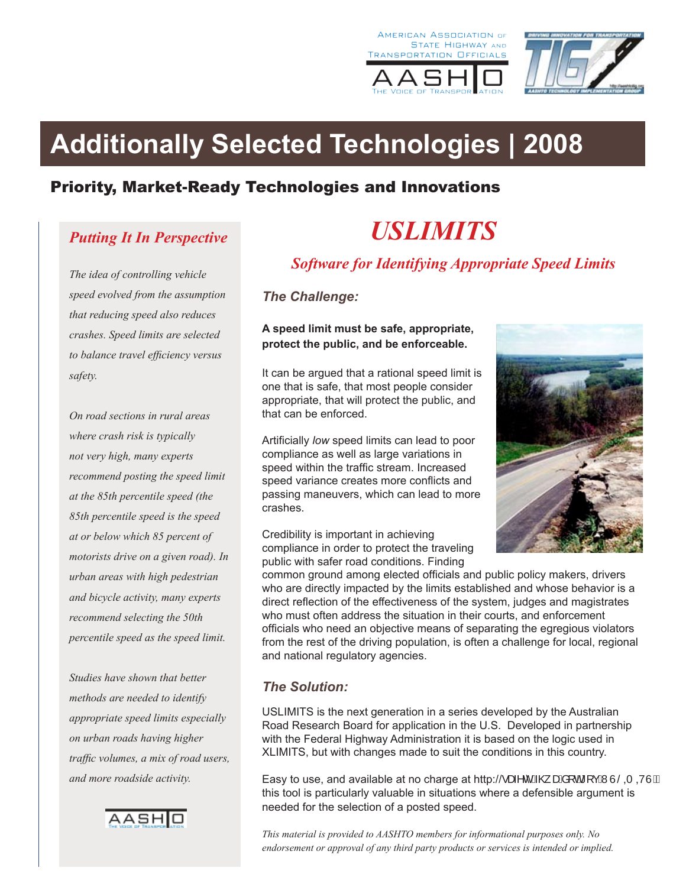





# **Additionally Selected Technologies | 2008**

# Priority, Market-Ready Technologies and Innovations

## *Putting It In Perspective*

*The idea of controlling vehicle speed evolved from the assumption that reducing speed also reduces crashes. Speed limits are selected to balance travel efficiency versus safety.* 

*On road sections in rural areas where crash risk is typically not very high, many experts recommend posting the speed limit at the 85th percentile speed (the 85th percentile speed is the speed at or below which 85 percent of motorists drive on a given road). In urban areas with high pedestrian and bicycle activity, many experts recommend selecting the 50th percentile speed as the speed limit.* 

*Studies have shown that better methods are needed to identify appropriate speed limits especially on urban roads having higher traffic volumes, a mix of road users, and more roadside activity.* 



# *USLIMITS*

*Software for Identifying Appropriate Speed Limits*

*The Challenge:*

#### **A speed limit must be safe, appropriate, protect the public, and be enforceable.**

It can be argued that a rational speed limit is one that is safe, that most people consider appropriate, that will protect the public, and that can be enforced.

Artificially *low* speed limits can lead to poor compliance as well as large variations in speed within the traffic stream. Increased speed variance creates more conflicts and passing maneuvers, which can lead to more crashes.

Credibility is important in achieving compliance in order to protect the traveling public with safer road conditions. Finding



common ground among elected officials and public policy makers, drivers who are directly impacted by the limits established and whose behavior is a direct reflection of the effectiveness of the system, judges and magistrates who must often address the situation in their courts, and enforcement officials who need an objective means of separating the egregious violators from the rest of the driving population, is often a challenge for local, regional and national regulatory agencies.

#### *The Solution:*

USLIMITS is the next generation in a series developed by the Australian Road Research Board for application in the U.S. Developed in partnership with the Federal Highway Administration it is based on the logic used in XLIMITS, but with changes made to suit the conditions in this country.

Easy to use, and available at no charge at http:// $\cdot$ æ^c E@ æai d i cBNUSQ QUE this tool is particularly valuable in situations where a defensible argument is needed for the selection of a posted speed.

*This material is provided to AASHTO members for informational purposes only. No endorsement or approval of any third party products or services is intended or implied.*